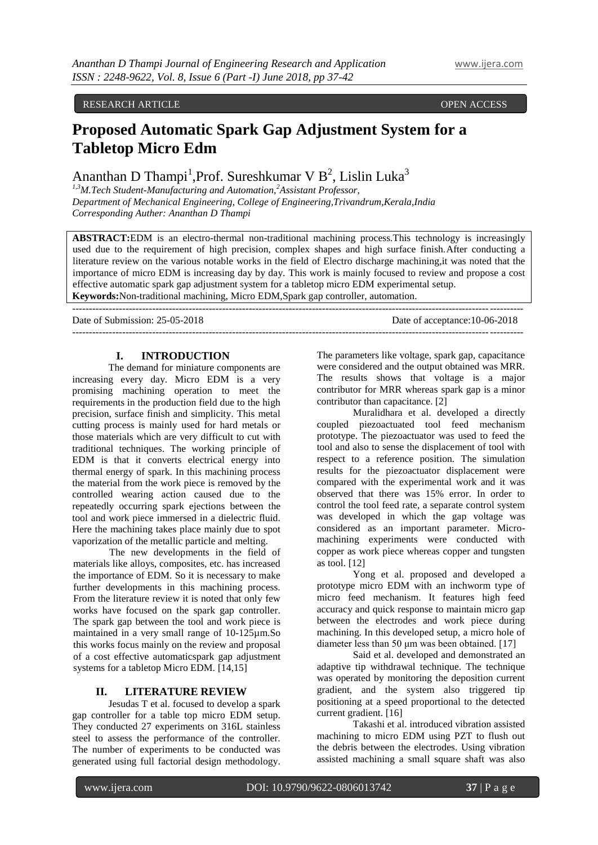#### RESEARCH ARTICLE **CONSERVERS** OPEN ACCESS **OPEN ACCESS**

# **Proposed Automatic Spark Gap Adjustment System for a Tabletop Micro Edm**

## Ananthan D Thampi<sup>1</sup>, Prof. Sureshkumar V B<sup>2</sup>, Lislin Luka<sup>3</sup>

*1,3M.Tech Student-Manufacturing and Automation,<sup>2</sup>Assistant Professor, Department of Mechanical Engineering, College of Engineering,Trivandrum,Kerala,India Corresponding Auther: Ananthan D Thampi*

**ABSTRACT:**EDM is an electro-thermal non-traditional machining process.This technology is increasingly used due to the requirement of high precision, complex shapes and high surface finish.After conducting a literature review on the various notable works in the field of Electro discharge machining,it was noted that the importance of micro EDM is increasing day by day. This work is mainly focused to review and propose a cost effective automatic spark gap adjustment system for a tabletop micro EDM experimental setup. **Keywords:**Non-traditional machining, Micro EDM,Spark gap controller, automation.

---------------------------------------------------------------------------------------------------------------------------------------

---------------------------------------------------------------------------------------------------------------------------------------

Date of Submission: 25-05-2018 Date of acceptance:10-06-2018

#### **I. INTRODUCTION**

The demand for miniature components are increasing every day. Micro EDM is a very promising machining operation to meet the requirements in the production field due to the high precision, surface finish and simplicity. This metal cutting process is mainly used for hard metals or those materials which are very difficult to cut with traditional techniques. The working principle of EDM is that it converts electrical energy into thermal energy of spark. In this machining process the material from the work piece is removed by the controlled wearing action caused due to the repeatedly occurring spark ejections between the tool and work piece immersed in a dielectric fluid. Here the machining takes place mainly due to spot vaporization of the metallic particle and melting.

The new developments in the field of materials like alloys, composites, etc. has increased the importance of EDM. So it is necessary to make further developments in this machining process. From the literature review it is noted that only few works have focused on the spark gap controller. The spark gap between the tool and work piece is maintained in a very small range of 10-125µm.So this works focus mainly on the review and proposal of a cost effective automaticspark gap adjustment systems for a tabletop Micro EDM. [14,15]

#### **II. LITERATURE REVIEW**

Jesudas T et al. focused to develop a spark gap controller for a table top micro EDM setup. They conducted 27 experiments on 316L stainless steel to assess the performance of the controller. The number of experiments to be conducted was generated using full factorial design methodology.

The parameters like voltage, spark gap, capacitance were considered and the output obtained was MRR. The results shows that voltage is a major contributor for MRR whereas spark gap is a minor contributor than capacitance. [2]

Muralidhara et al. developed a directly coupled piezoactuated tool feed mechanism prototype. The piezoactuator was used to feed the tool and also to sense the displacement of tool with respect to a reference position. The simulation results for the piezoactuator displacement were compared with the experimental work and it was observed that there was 15% error. In order to control the tool feed rate, a separate control system was developed in which the gap voltage was considered as an important parameter. Micromachining experiments were conducted with copper as work piece whereas copper and tungsten as tool. [12]

Yong et al. proposed and developed a prototype micro EDM with an inchworm type of micro feed mechanism. It features high feed accuracy and quick response to maintain micro gap between the electrodes and work piece during machining. In this developed setup, a micro hole of diameter less than 50 μm was been obtained. [17]

Said et al. developed and demonstrated an adaptive tip withdrawal technique. The technique was operated by monitoring the deposition current gradient, and the system also triggered tip positioning at a speed proportional to the detected current gradient. [16]

Takashi et al. introduced vibration assisted machining to micro EDM using PZT to flush out the debris between the electrodes. Using vibration assisted machining a small square shaft was also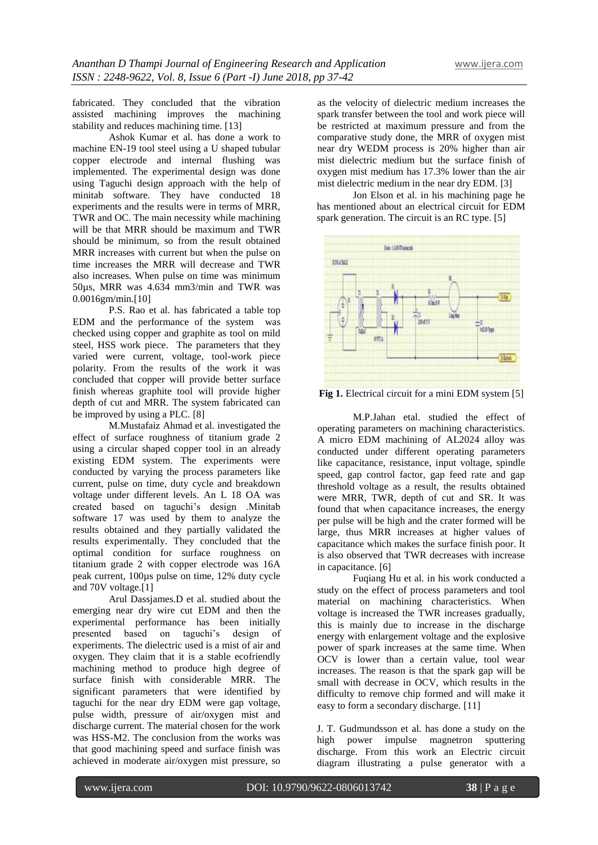fabricated. They concluded that the vibration assisted machining improves the machining stability and reduces machining time. [13]

Ashok Kumar et al. has done a work to machine EN-19 tool steel using a U shaped tubular copper electrode and internal flushing was implemented. The experimental design was done using Taguchi design approach with the help of minitab software. They have conducted 18 experiments and the results were in terms of MRR, TWR and OC. The main necessity while machining will be that MRR should be maximum and TWR should be minimum, so from the result obtained MRR increases with current but when the pulse on time increases the MRR will decrease and TWR also increases. When pulse on time was minimum 50µs, MRR was 4.634 mm3/min and TWR was 0.0016gm/min.[10]

P.S. Rao et al. has fabricated a table top EDM and the performance of the system was checked using copper and graphite as tool on mild steel, HSS work piece. The parameters that they varied were current, voltage, tool-work piece polarity. From the results of the work it was concluded that copper will provide better surface finish whereas graphite tool will provide higher depth of cut and MRR. The system fabricated can be improved by using a PLC. [8]

M.Mustafaiz Ahmad et al. investigated the effect of surface roughness of titanium grade 2 using a circular shaped copper tool in an already existing EDM system. The experiments were conducted by varying the process parameters like current, pulse on time, duty cycle and breakdown voltage under different levels. An L 18 OA was created based on taguchi's design .Minitab software 17 was used by them to analyze the results obtained and they partially validated the results experimentally. They concluded that the optimal condition for surface roughness on titanium grade 2 with copper electrode was 16A peak current, 100µs pulse on time, 12% duty cycle and 70V voltage.[1]

Arul Dassjames.D et al. studied about the emerging near dry wire cut EDM and then the experimental performance has been initially presented based on taguchi's design of experiments. The dielectric used is a mist of air and oxygen. They claim that it is a stable ecofriendly machining method to produce high degree of surface finish with considerable MRR. The significant parameters that were identified by taguchi for the near dry EDM were gap voltage, pulse width, pressure of air/oxygen mist and discharge current. The material chosen for the work was HSS-M2. The conclusion from the works was that good machining speed and surface finish was achieved in moderate air/oxygen mist pressure, so

as the velocity of dielectric medium increases the spark transfer between the tool and work piece will be restricted at maximum pressure and from the comparative study done, the MRR of oxygen mist near dry WEDM process is 20% higher than air mist dielectric medium but the surface finish of oxygen mist medium has 17.3% lower than the air mist dielectric medium in the near dry EDM. [3]

Jon Elson et al. in his machining page he has mentioned about an electrical circuit for EDM spark generation. The circuit is an RC type. [5]



**Fig 1.** Electrical circuit for a mini EDM system [5]

M.P.Jahan etal. studied the effect of operating parameters on machining characteristics. A micro EDM machining of AL2024 alloy was conducted under different operating parameters like capacitance, resistance, input voltage, spindle speed, gap control factor, gap feed rate and gap threshold voltage as a result, the results obtained were MRR, TWR, depth of cut and SR. It was found that when capacitance increases, the energy per pulse will be high and the crater formed will be large, thus MRR increases at higher values of capacitance which makes the surface finish poor. It is also observed that TWR decreases with increase in capacitance. [6]

Fuqiang Hu et al. in his work conducted a study on the effect of process parameters and tool material on machining characteristics. When voltage is increased the TWR increases gradually, this is mainly due to increase in the discharge energy with enlargement voltage and the explosive power of spark increases at the same time. When OCV is lower than a certain value, tool wear increases. The reason is that the spark gap will be small with decrease in OCV, which results in the difficulty to remove chip formed and will make it easy to form a secondary discharge. [11]

J. T. Gudmundsson et al. has done a study on the high power impulse magnetron sputtering discharge. From this work an Electric circuit diagram illustrating a pulse generator with a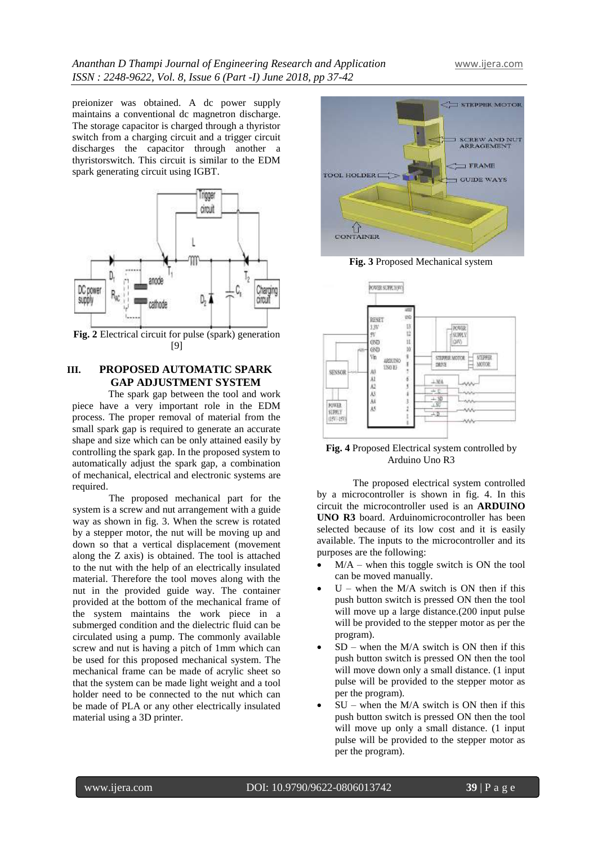preionizer was obtained. A dc power supply maintains a conventional dc magnetron discharge. The storage capacitor is charged through a thyristor switch from a charging circuit and a trigger circuit discharges the capacitor through another a thyristorswitch. This circuit is similar to the EDM spark generating circuit using IGBT.



**Fig. 2** Electrical circuit for pulse (spark) generation [9]

### **III. PROPOSED AUTOMATIC SPARK GAP ADJUSTMENT SYSTEM**

The spark gap between the tool and work piece have a very important role in the EDM process. The proper removal of material from the small spark gap is required to generate an accurate shape and size which can be only attained easily by controlling the spark gap. In the proposed system to automatically adjust the spark gap, a combination of mechanical, electrical and electronic systems are required.

The proposed mechanical part for the system is a screw and nut arrangement with a guide way as shown in fig. 3. When the screw is rotated by a stepper motor, the nut will be moving up and down so that a vertical displacement (movement along the Z axis) is obtained. The tool is attached to the nut with the help of an electrically insulated material. Therefore the tool moves along with the nut in the provided guide way. The container provided at the bottom of the mechanical frame of the system maintains the work piece in a submerged condition and the dielectric fluid can be circulated using a pump. The commonly available screw and nut is having a pitch of 1mm which can be used for this proposed mechanical system. The mechanical frame can be made of acrylic sheet so that the system can be made light weight and a tool holder need to be connected to the nut which can be made of PLA or any other electrically insulated material using a 3D printer.



**Fig. 3** Proposed Mechanical system



**Fig. 4** Proposed Electrical system controlled by Arduino Uno R3

The proposed electrical system controlled by a microcontroller is shown in fig. 4. In this circuit the microcontroller used is an **ARDUINO UNO R3** board. Arduinomicrocontroller has been selected because of its low cost and it is easily available. The inputs to the microcontroller and its purposes are the following:

- M/A when this toggle switch is ON the tool can be moved manually.
- $U$  when the M/A switch is ON then if this push button switch is pressed ON then the tool will move up a large distance.<sup>(200</sup> input pulse will be provided to the stepper motor as per the program).
- $SD$  when the M/A switch is ON then if this push button switch is pressed ON then the tool will move down only a small distance. (1 input pulse will be provided to the stepper motor as per the program).
- $SU -$  when the M/A switch is ON then if this push button switch is pressed ON then the tool will move up only a small distance. (1 input pulse will be provided to the stepper motor as per the program).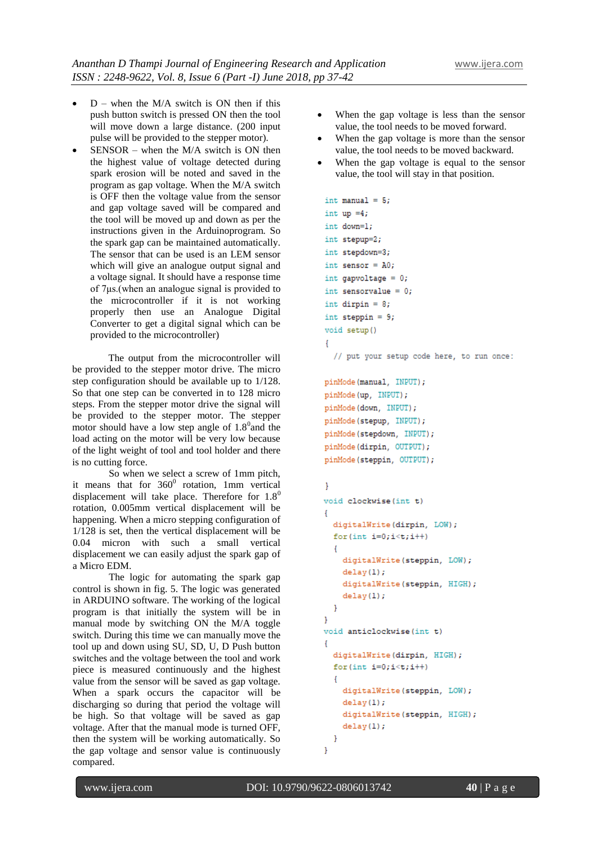- $D$  when the M/A switch is ON then if this push button switch is pressed ON then the tool will move down a large distance. (200 input pulse will be provided to the stepper motor).
- SENSOR when the M/A switch is ON then the highest value of voltage detected during spark erosion will be noted and saved in the program as gap voltage. When the M/A switch is OFF then the voltage value from the sensor and gap voltage saved will be compared and the tool will be moved up and down as per the instructions given in the Arduinoprogram. So the spark gap can be maintained automatically. The sensor that can be used is an LEM sensor which will give an analogue output signal and a voltage signal. It should have a response time of 7μs.(when an analogue signal is provided to the microcontroller if it is not working properly then use an Analogue Digital Converter to get a digital signal which can be provided to the microcontroller)

The output from the microcontroller will be provided to the stepper motor drive. The micro step configuration should be available up to 1/128. So that one step can be converted in to 128 micro steps. From the stepper motor drive the signal will be provided to the stepper motor. The stepper motor should have a low step angle of  $1.8<sup>0</sup>$  and the load acting on the motor will be very low because of the light weight of tool and tool holder and there is no cutting force.

So when we select a screw of 1mm pitch, it means that for  $360^0$  rotation, 1mm vertical displacement will take place. Therefore for  $1.8^0$ rotation, 0.005mm vertical displacement will be happening. When a micro stepping configuration of 1/128 is set, then the vertical displacement will be 0.04 micron with such a small vertical displacement we can easily adjust the spark gap of a Micro EDM.

The logic for automating the spark gap control is shown in fig. 5. The logic was generated in ARDUINO software. The working of the logical program is that initially the system will be in manual mode by switching ON the M/A toggle switch. During this time we can manually move the tool up and down using SU, SD, U, D Push button switches and the voltage between the tool and work piece is measured continuously and the highest value from the sensor will be saved as gap voltage. When a spark occurs the capacitor will be discharging so during that period the voltage will be high. So that voltage will be saved as gap voltage. After that the manual mode is turned OFF, then the system will be working automatically. So the gap voltage and sensor value is continuously compared.

- When the gap voltage is less than the sensor value, the tool needs to be moved forward.
- When the gap voltage is more than the sensor value, the tool needs to be moved backward.
- When the gap voltage is equal to the sensor value, the tool will stay in that position.

```
int manual = 5;
int up =4;
int down=1;
int stepup=2;
int stepdown=3;
int sensor = A0;
int gapvoltage = 0;
int sensorvalue = 0;
int dirpin = 8;
int steppin = 9;
void setup()
\mathcal{L}_{\mathcal{L}}// put your setup code here, to run once:
pinMode(manual, INPUT);
pinMode(up, INPUT);
pinMode(down, INPUT);
pinMode(stepup, INPUT);
pinMode(stepdown, INPUT);
pinMode(dirpin, OUTPUT);
```

```
<sup>1</sup>
void clockwise(int t)
\overline{A}digitalWrite(dirpin. LOW);
  for (int i=0:i< t:i++)\overline{A}digitalWrite(steppin, LOW);
    delay(1);digitalWrite(steppin, HIGH);
    delay(1);ł
\mathbf{1}void anticlockwise(int t)
\overline{A}digitalWrite(dirpin, HIGH);
  for (int i=0; i < t; i++)\overline{A}digitalWrite(steppin, LOW);
    delav(1);
    digitalWrite(steppin, HIGH);
    delay(1);-1
ł
```
pinMode(steppin, OUTPUT);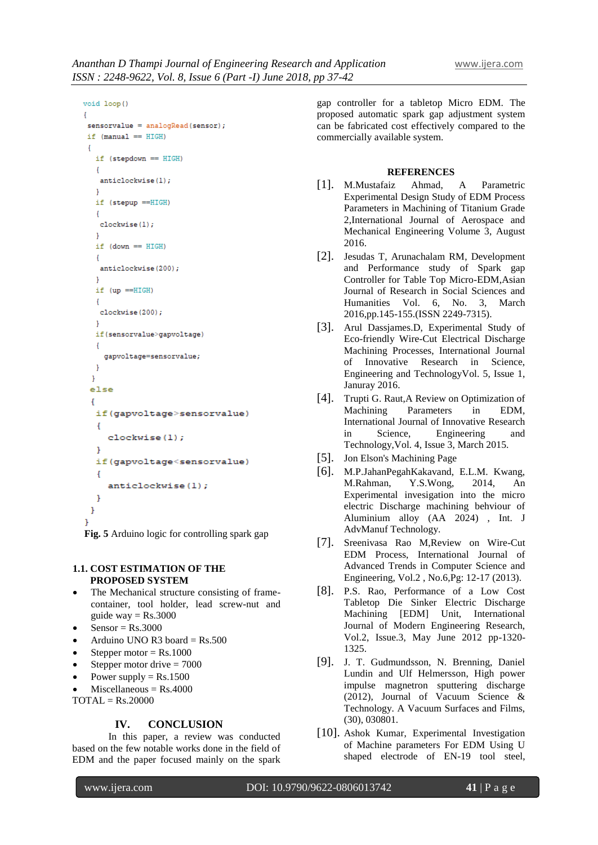```
void loop()
```

```
Ŧ.
 sensorvalue = analogRead(sensor);if (manual == HIGH)\mathbf{I}if (stepdown == HIGH)
   \overline{A}anticlockwise(1);
   J.
   if (stepup ==HIGH)
   \overline{A}clockwise(1);
   \mathbf{r}if (down == HIGH)\overline{A}anticlockwise(200);
   \mathbf{r}if (up == HIGH)\mathbf{f}clockwise(200);
   \mathbf{F}if(sensorvalue>gapvoltage)
   \mathbf{f}gapvoltage=sensorvalue;
   -1
  \mathcal{F}else
 \mathbf{f}if(gapvoltage>sensorvalue)
   \overline{A}clockwise(1);\mathbf{r}if(gapvoltage<sensorvalue)
   \overline{A}anticlockwise(1);
   \mathbf{1}\mathbf{r}J.
```
**Fig. 5** Arduino logic for controlling spark gap

#### **1.1. COST ESTIMATION OF THE PROPOSED SYSTEM**

- The Mechanical structure consisting of framecontainer, tool holder, lead screw-nut and guide way  $=$  Rs.3000
- $Sensor = Rs.3000$
- Arduino UNO R3 board =  $Rs.500$
- Stepper motor  $=$  Rs.1000
- Stepper motor drive = 7000
- Power supply  $=$  Rs.1500
- $Miscellaneous = Rs.4000$

 $TOTAL = Rs.20000$ 

#### **IV. CONCLUSION**

In this paper, a review was conducted based on the few notable works done in the field of EDM and the paper focused mainly on the spark

gap controller for a tabletop Micro EDM. The proposed automatic spark gap adjustment system can be fabricated cost effectively compared to the commercially available system.

#### **REFERENCES**

- [1]. M.Mustafaiz Ahmad, A Parametric Experimental Design Study of EDM Process Parameters in Machining of Titanium Grade 2,International Journal of Aerospace and Mechanical Engineering Volume 3, August 2016.
- [2]. Jesudas T, Arunachalam RM, Development and Performance study of Spark gap Controller for Table Top Micro-EDM,Asian Journal of Research in Social Sciences and Humanities Vol. 6, No. 3, March 2016,pp.145-155.(ISSN 2249-7315).
- [3]. Arul Dassjames.D, Experimental Study of Eco-friendly Wire-Cut Electrical Discharge Machining Processes, International Journal of Innovative Research in Science, Engineering and TechnologyVol. 5, Issue 1, Januray 2016.
- [4]. Trupti G. Raut,A Review on Optimization of Machining Parameters in EDM, International Journal of Innovative Research in Science, Engineering and Technology,Vol. 4, Issue 3, March 2015.
- [5]. Jon Elson's Machining Page
- [6]. M.P.JahanPegahKakavand, E.L.M. Kwang, M.Rahman, Y.S.Wong, 2014, An Experimental invesigation into the micro electric Discharge machining behviour of Aluminium alloy (AA 2024) , Int. J AdvManuf Technology.
- [7]. Sreenivasa Rao M,Review on Wire-Cut EDM Process, International Journal of Advanced Trends in Computer Science and Engineering, Vol.2 , No.6,Pg: 12-17 (2013).
- [8]. P.S. Rao, Performance of a Low Cost Tabletop Die Sinker Electric Discharge Machining [EDM] Unit, International Journal of Modern Engineering Research, Vol.2, Issue.3, May June 2012 pp-1320- 1325.
- [9]. J. T. Gudmundsson, N. Brenning, Daniel Lundin and Ulf Helmersson, High power impulse magnetron sputtering discharge (2012), Journal of Vacuum Science & Technology. A Vacuum Surfaces and Films, (30), 030801.
- [10]. Ashok Kumar, Experimental Investigation of Machine parameters For EDM Using U shaped electrode of EN-19 tool steel,